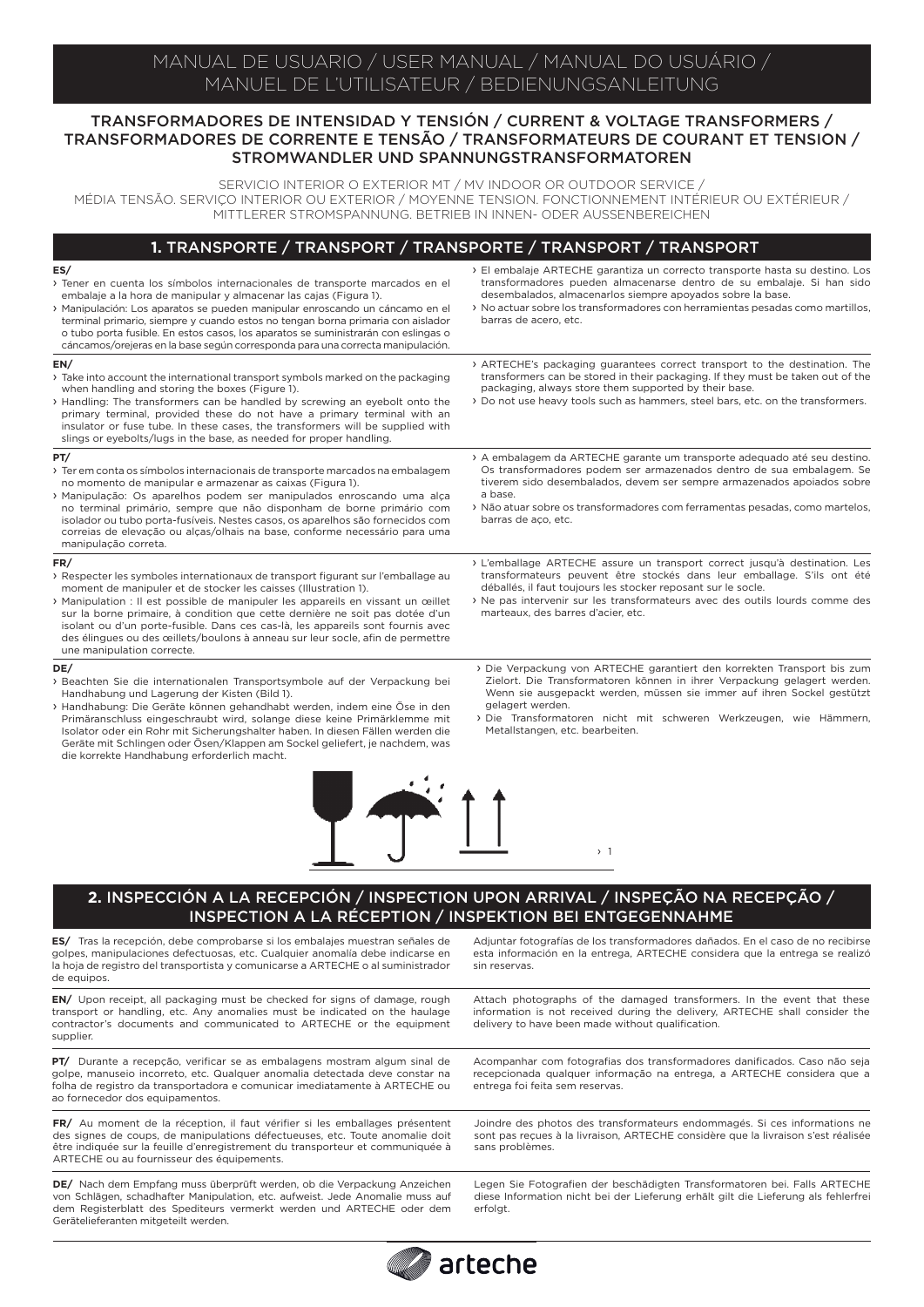## MANUAL DE USUARIO / USER MANUAL / MANUAL DO USUÁRIO / MANUEL DE L'UTILISATEUR / BEDIENUNGSANLEITUNG

### TRANSFORMADORES DE INTENSIDAD Y TENSIÓN / CURRENT & VOLTAGE TRANSFORMERS / TRANSFORMADORES DE CORRENTE E TENSÃO / TRANSFORMATEURS DE COURANT ET TENSION / STROMWANDLER UND SPANNUNGSTRANSFORMATOREN

SERVICIO INTERIOR O EXTERIOR MT / MV INDOOR OR OUTDOOR SERVICE / MÉDIA TENSÃO. SERVIÇO INTERIOR OU EXTERIOR / MOYENNE TENSION. FONCTIONNEMENT INTÉRIEUR OU EXTÉRIEUR / MITTLERER STROMSPANNUNG. BETRIEB IN INNEN- ODER AUSSENBEREICHEN

### **1.** TRANSPORTE / TRANSPORT / TRANSPORTE / TRANSPORT / TRANSPORT

#### **ES/**

- › Tener en cuenta los símbolos internacionales de transporte marcados en el embalaje a la hora de manipular y almacenar las cajas (Figura 1). › Manipulación: Los aparatos se pueden manipular enroscando un cáncamo en el terminal primario, siempre y cuando estos no tengan borna primaria con aislador o tubo porta fusible. En estos casos, los aparatos se suministrarán con eslingas o cáncamos/orejeras en la base según corresponda para una correcta manipulación. › El embalaje ARTECHE garantiza un correcto transporte hasta su destino. Los transformadores pueden almacenarse dentro de su embalaje. Si han sido desembalados, almacenarlos siempre apoyados sobre la base. › No actuar sobre los transformadores con herramientas pesadas como martillos, barras de acero, etc. **EN/** › Take into account the international transport symbols marked on the packaging when handling and storing the boxes (Figure 1). › Handling: The transformers can be handled by screwing an eyebolt onto the primary terminal, provided these do not have a primary terminal with an insulator or fuse tube. In these cases, the transformers will be supplied with slings or eyebolts/lugs in the base, as needed for proper handling. › ARTECHE's packaging guarantees correct transport to the destination. The transformers can be stored in their packaging. If they must be taken out of the packaging, always store them supported by their base. › Do not use heavy tools such as hammers, steel bars, etc. on the transformers. **PT/** › Ter em conta os símbolos internacionais de transporte marcados na embalagem no momento de manipular e armazenar as caixas (Figura 1). › Manipulação: Os aparelhos podem ser manipulados enroscando uma alça no terminal primário, sempre que não disponham de borne primário com isolador ou tubo porta-fusíveis. Nestes casos, os aparelhos são fornecidos com correias de elevação ou alças/olhais na base, conforme necessário para uma manipulação correta. › A embalagem da ARTECHE garante um transporte adequado até seu destino. Os transformadores podem ser armazenados dentro de sua embalagem. Se tiverem sido desembalados, devem ser sempre armazenados apoiados sobre a base. › Não atuar sobre os transformadores com ferramentas pesadas, como martelos, barras de aço, etc. **FR/** I Respecter les symboles internationaux de transport figurant sur l'emballage au moment de manipuler et de stocker les caisses (Illustration 1). › Manipulation : Il est possible de manipuler les appareils en vissant un œillet sur la borne primaire, à condition que cette dernière ne soit pas dotée d'un isolant ou d'un porte-fusible. Dans ces cas-là, les appareils sont fournis avec des élingues ou des œillets/boulons à anneau sur leur socle, afin de permettre une manipulation correcte. › L'emballage ARTECHE assure un transport correct jusqu'à destination. Les transformateurs peuvent être stockés dans leur emballage. S'ils ont été déballés, il faut toujours les stocker reposant sur le socle. › Ne pas intervenir sur les transformateurs avec des outils lourds comme des marteaux, des barres d'acier, etc. **DE/** › Beachten Sie die internationalen Transportsymbole auf der Verpackung bei Handhabung und Lagerung der Kisten (Bild 1). › Die Verpackung von ARTECHE garantiert den korrekten Transport bis zum Zielort. Die Transformatoren können in ihrer Verpackung gelagert werden. Wenn sie ausgepackt werden, müssen sie immer auf ihren Sockel gestützt gelagert werden.
- › Handhabung: Die Geräte können gehandhabt werden, indem eine Öse in den Primäranschluss eingeschraubt wird, solange diese keine Primärklemme mit Isolator oder ein Rohr mit Sicherungshalter haben. In diesen Fällen werden die Geräte mit Schlingen oder Ösen/Klappen am Sockel geliefert, je nachdem, was die korrekte Handhabung erforderlich macht.
	-
	- **2.** INSPECCIÓN A LA RECEPCIÓN / INSPECTION UPON ARRIVAL / INSPEÇÃO NA RECEPÇÃO / INSPECTION A LA RÉCEPTION / INSPEKTION BEI ENTGEGENNAHME

**ES/** Tras la recepción, debe comprobarse si los embalajes muestran señales de golpes, manipulaciones defectuosas, etc. Cualquier anomalía debe indicarse en la hoja de registro del transportista y comunicarse a ARTECHE o al suministrador de equipos.

**EN/** Upon receipt, all packaging must be checked for signs of damage, rough transport or handling, etc. Any anomalies must be indicated on the haulage contractor's documents and communicated to ARTECHE or the equipment supplier

PT/ Durante a recepção, verificar se as embalagens mostram algum sinal de golpe, manuseio incorreto, etc. Qualquer anomalia detectada deve constar na folha de registro da transportadora e comunicar imediatamente à ARTECHE ou ao fornecedor dos equipamentos.

FR/ Au moment de la réception, il faut vérifier si les emballages présentent des signes de coups, de manipulations défectueuses, etc. Toute anomalie doit être indiquée sur la feuille d'enregistrement du transporteur et communiquée à ARTECHE ou au fournisseur des équipements.

**DE/** Nach dem Empfang muss überprüft werden, ob die Verpackung Anzeichen von Schlägen, schadhafter Manipulation, etc. aufweist. Jede Anomalie muss auf dem Registerblatt des Spediteurs vermerkt werden und ARTECHE oder dem Gerätelieferanten mitgeteilt werden.

Adjuntar fotografías de los transformadores dañados. En el caso de no recibirse esta información en la entrega, ARTECHE considera que la entrega se realizó sin reservas.

› Die Transformatoren nicht mit schweren Werkzeugen, wie Hämmern,

Metallstangen, etc. bearbeiten.

› 1

Attach photographs of the damaged transformers. In the event that these information is not received during the delivery, ARTECHE shall consider the delivery to have been made without qualification.

Acompanhar com fotografias dos transformadores danificados. Caso não seja recepcionada qualquer informação na entrega, a ARTECHE considera que a entrega foi feita sem reservas.

Joindre des photos des transformateurs endommagés. Si ces informations ne sont pas reçues à la livraison, ARTECHE considère que la livraison s'est réalisée sans problèmes.

Legen Sie Fotografien der beschädigten Transformatoren bei. Falls ARTECHE diese Information nicht bei der Lieferung erhält gilt die Lieferung als fehlerfrei erfolgt.

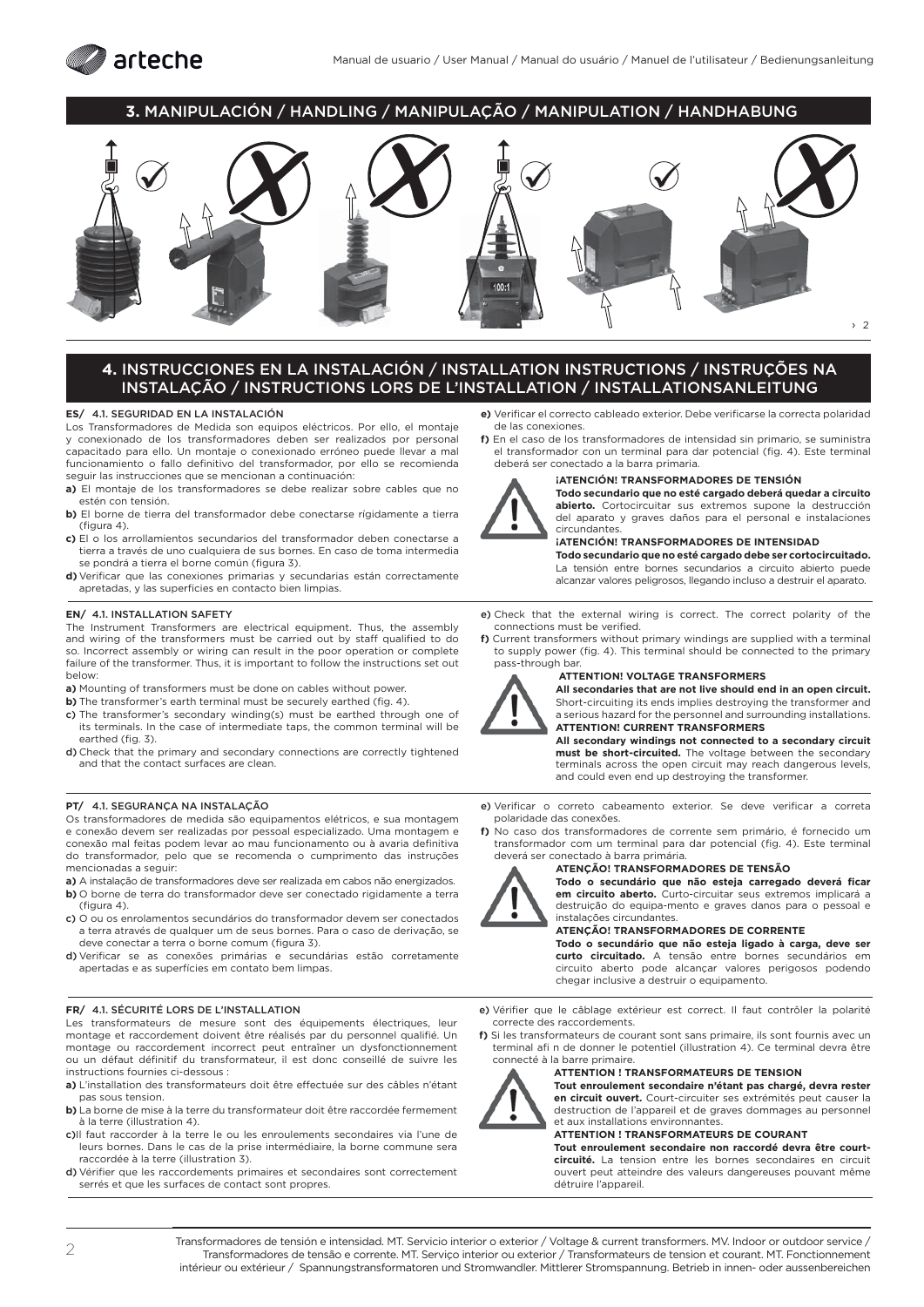

### **3.** MANIPULACIÓN / HANDLING / MANIPULAÇÃO / MANIPULATION / HANDHABUNG



### **4.** INSTRUCCIONES EN LA INSTALACIÓN / INSTALLATION INSTRUCTIONS / INSTRUÇÕES NA INSTALAÇÃO / INSTRUCTIONS LORS DE L'INSTALLATION / INSTALLATIONSANLEITUNG

### **ES/** 4.1. SEGURIDAD EN LA INSTALACIÓN

Los Transformadores de Medida son equipos eléctricos. Por ello, el montaje y conexionado de los transformadores deben ser realizados por personal capacitado para ello. Un montaje o conexionado erróneo puede llevar a mal funcionamiento o fallo definitivo del transformador, por ello se recomienda seguir las instrucciones que se mencionan a continuación:

- **a)** El montaje de los transformadores se debe realizar sobre cables que no estén con tensión.
- **b)** El borne de tierra del transformador debe conectarse rígidamente a tierra  $(fiqura 4)$ .
- **c)** El o los arrollamientos secundarios del transformador deben conectarse a tierra a través de uno cualquiera de sus bornes. En caso de toma intermedia se pondrá a tierra el borne común (figura 3).
- **d)** Verificar que las conexiones primarias y secundarias están correctamente apretadas, y las superficies en contacto bien limpias.

# **EN/ 4.1. INSTALLATION SAFETY**<br>The Instrument Transformers are

Instrument Transformers are electrical equipment. Thus, the assembly and wiring of the transformers must be carried out by staff qualified to do so. Incorrect assembly or wiring can result in the poor operation or complete failure of the transformer. Thus, it is important to follow the instructions set out below:

- **a)** Mounting of transformers must be done on cables without power.
- **b)** The transformer's earth terminal must be securely earthed (fig. 4).
- c) The transformer's secondary winding(s) must be earthed through one of its terminals. In the case of intermediate taps, the common terminal will be earthed (fig. 3).
- d) Check that the primary and secondary connections are correctly tightened and that the contact surfaces are clean.

### **PT/** 4.1. SEGURANÇA NA INSTALAÇÃO

Os transformadores de medida são equipamentos elétricos, e sua montagem e conexão devem ser realizadas por pessoal especializado. Uma montagem e conexão mal feitas podem levar ao mau funcionamento ou à avaria definitiva do transformador, pelo que se recomenda o cumprimento das instruções mencionadas a seguir:

- **a)** A instalação de transformadores deve ser realizada em cabos não energizados.
- **b)** O borne de terra do transformador deve ser conectado rigidamente a terra (figura 4).
- c) O ou os enrolamentos secundários do transformador devem ser conectados a terra através de qualquer um de seus bornes. Para o caso de derivação, se deve conectar a terra o borne comum (figura 3).
- d) Verificar se as conexões primárias e secundárias estão corretamente apertadas e as superfícies em contato bem limpas.

### **FR/** 4.1. SÉCURITÉ LORS DE L'INSTALLATION

Les transformateurs de mesure sont des équipements électriques, leur montage et raccordement doivent être réalisés par du personnel qualifié. Un montage ou raccordement incorrect peut entraîner un dysfonctionnement ou un défaut définitif du transformateur, il est donc conseillé de suivre les instructions fournies ci-dessous :

- a) L'installation des transformateurs doit être effectuée sur des câbles n'étant pas sous tension.
- **b)** La borne de mise à la terre du transformateur doit être raccordée fermement à la terre (illustration 4).
- c)Il faut raccorder à la terre le ou les enroulements secondaires via l'une de leurs bornes. Dans le cas de la prise intermédiaire, la borne commune sera raccordée à la terre (illustration 3).
- d) Vérifier que les raccordements primaires et secondaires sont correctement serrés et que les surfaces de contact sont propres.
- **e)** Verificar el correcto cableado exterior. Debe verificarse la correcta polaridad de las conexiones.
- **f)** En el caso de los transformadores de intensidad sin primario, se suministra el transformador con un terminal para dar potencial (fig. 4). Este terminal deberá ser conectado a la barra primaria.



### **¡ATENCIÓN! TRANSFORMADORES DE TENSIÓN**

**Todo secundario que no esté cargado deberá quedar a circuito abierto.** Cortocircuitar sus extremos supone la destrucción del aparato y graves daños para el personal e instalaciones circundantes.

### **IATENCIÓNI TRANSFORMADORES DE INTENSIDAD**

**Todo secundario que no esté cargado debe ser cortocircuitado.** La tensión entre bornes secundarios a circuito abierto puede alcanzar valores peligrosos, llegando incluso a destruir el aparato.

e) Check that the external wiring is correct. The correct polarity of the connections must be verified.

**f)** Current transformers without primary windings are supplied with a terminal to supply power (fig. 4). This terminal should be connected to the primary pass-through bar.



## **ATTENTION! VOLTAGE TRANSFORMERS**

**All secondaries that are not live should end in an open circuit.** Short-circuiting its ends implies destroying the transformer and a serious hazard for the personnel and surrounding installations. **ATTENTION! CURRENT TRANSFORMERS**

**All secondary windings not connected to a secondary circuit must be short-circuited.** The voltage between the secondary terminals across the open circuit may reach dangerous levels, and could even end up destroying the transformer.

- e) Verificar o correto cabeamento exterior. Se deve verificar a correta polaridade das conexões.
- **f)** No caso dos transformadores de corrente sem primário, é fornecido um transformador com um terminal para dar potencial (fig. 4). Este terminal deverá ser conectado à barra primária.



#### **ATENÇÃO! TRANSFORMADORES DE TENSÃO**

**Todo o secundário que não esteja carregado deverá ficar<br><b>em circuito aberto.** Curto-circuitar seus extremos implicará a destruição do equipa-mento e graves danos para o pessoal e instalações circundantes.

### **ATENÇÃO! TRANSFORMADORES DE CORRENTE**

**Todo o secundário que não esteja ligado à carga, deve ser curto circuitado.** A tensão entre bornes secundários em circuito aberto pode alcançar valores perigosos podendo chegar inclusive a destruir o equipamento.

- e) Vérifier que le câblage extérieur est correct. Il faut contrôler la polarité correcte des raccordements.
- **f)** Si les transformateurs de courant sont sans primaire, ils sont fournis avec un terminal afi n de donner le potentiel (illustration 4). Ce terminal devra être connecté à la barre primaire.



### **ATTENTION ! TRANSFORMATEURS DE TENSION**

**Tout enroulement secondaire n'étant pas chargé, devra rester en circuit ouvert.** Court-circuiter ses extrémités peut causer la destruction de l'appareil et de graves dommages au personnel et aux installations environnantes

### **ATTENTION ! TRANSFORMATEURS DE COURANT**

**Tout enroulement secondaire non raccordé devra être courtcircuité.** La tension entre les bornes secondaires en circuit ouvert peut atteindre des valeurs dangereuses pouvant même détruire l'appareil.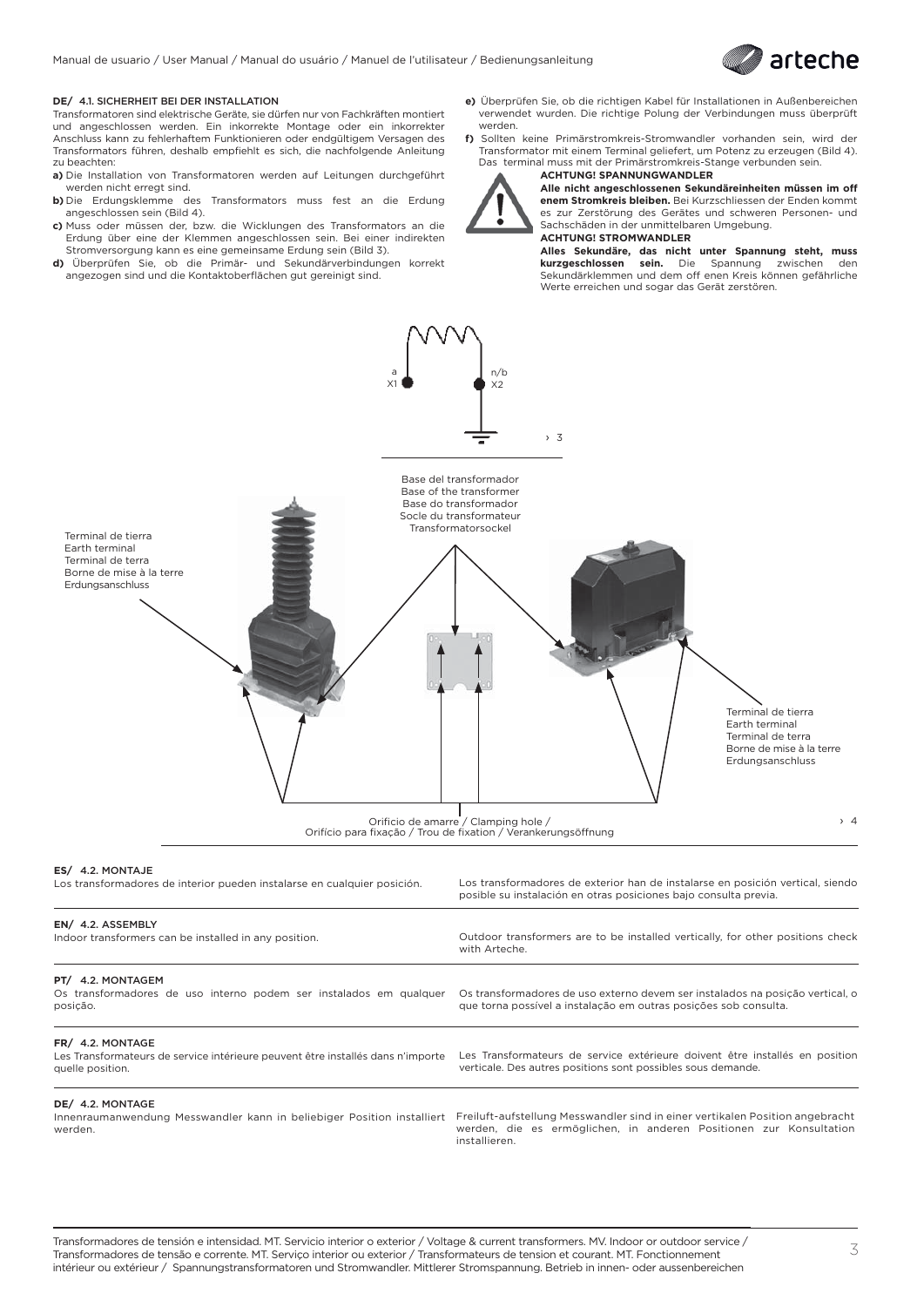

### **DE/** 4.1. SICHERHEIT BEI DER INSTALLATION

Transformatoren sind elektrische Geräte, sie dürfen nur von Fachkräften montiert und angeschlossen werden. Ein inkorrekte Montage oder ein inkorrekter Anschluss kann zu fehlerhaftem Funktionieren oder endgültigem Versagen des Transformators führen, deshalb empfiehlt es sich, die nachfolgende Anleitung zu beachten:

- **a)** Die Installation von Transformatoren werden auf Leitungen durchgeführt werden nicht erregt sind.
- **b)** Die Erdungsklemme des Transformators muss fest an die Erdung angeschlossen sein (Bild 4).
- **c)** Muss oder müssen der, bzw. die Wicklungen des Transformators an die Erdung über eine der Klemmen angeschlossen sein. Bei einer indirekten Stromversorgung kann es eine gemeinsame Erdung sein (Bild 3).
- **d)** Überprüfen Sie, ob die Primär- und Sekundärverbindungen korrekt angezogen sind und die Kontaktoberflächen gut gereinigt sind.
- **e)** Überprüfen Sie, ob die richtigen Kabel für Installationen in Außenbereichen verwendet wurden. Die richtige Polung der Verbindungen muss überprüft werden.
- **f)** Sollten keine Primärstromkreis-Stromwandler vorhanden sein, wird der Transformator mit einem Terminal geliefert, um Potenz zu erzeugen (Bild 4). Das terminal muss mit der Primärstromkreis-Stange verbunden sein. **ACHTUNG! SPANNUNGWANDLER**



**Alle nicht angeschlossenen Sekundäreinheiten müssen im off enem Stromkreis bleiben.** Bei Kurzschliessen der Enden kommt es zur Zerstörung des Gerätes und schweren Personen- und Sachschäden in der unmittelbaren Umgebung. **ACHTUNG! STROMWANDLER**

**Alles Sekundäre, das nicht unter Spannung steht, muss kurzgeschlossen sein.** Die Spannung zwischen den Sekundärklemmen und dem off enen Kreis können gefährliche Werte erreichen und sogar das Gerät zerstören.